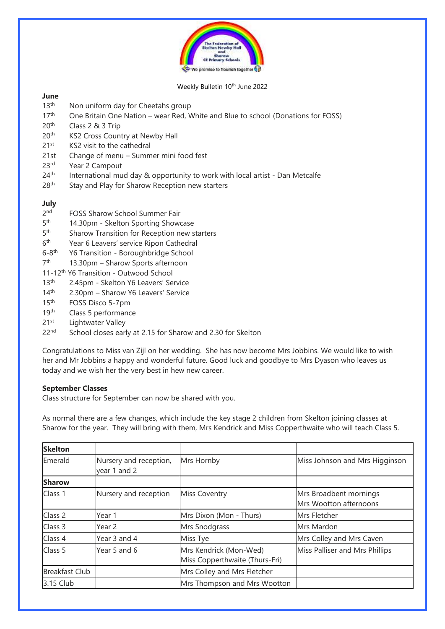

#### Weekly Bulletin 10<sup>th</sup> June 2022

# **June**

- 13<sup>th</sup> Non uniform day for Cheetahs group
- 17<sup>th</sup> One Britain One Nation wear Red, White and Blue to school (Donations for FOSS)
- 20th Class 2 & 3 Trip
- 20<sup>th</sup> KS2 Cross Country at Newby Hall
- 21<sup>st</sup> KS2 visit to the cathedral
- 21st Change of menu Summer mini food fest
- 23<sup>rd</sup> Year 2 Campout
- $24<sup>th</sup>$  International mud day & opportunity to work with local artist Dan Metcalfe
- 28<sup>th</sup> Stay and Play for Sharow Reception new starters

# **July**

- $2<sub>nd</sub>$ FOSS Sharow School Summer Fair
- $5<sup>th</sup>$ 14.30pm - Skelton Sporting Showcase
- $5<sup>th</sup>$ Sharow Transition for Reception new starters
- $6<sup>th</sup>$ Year 6 Leavers' service Ripon Cathedral
- $6 8$ <sup>th</sup> Y6 Transition - Boroughbridge School
- $7<sup>th</sup>$ 13.30pm – Sharow Sports afternoon
- 11-12th Y6 Transition Outwood School
- 13<sup>th</sup> 2.45pm Skelton Y6 Leavers' Service
- 14th 2.30pm Sharow Y6 Leavers' Service
- 15th FOSS Disco 5-7pm
- 19<sup>th</sup> Class 5 performance
- 21<sup>st</sup> Lightwater Valley
- 22<sup>nd</sup> School closes early at 2.15 for Sharow and 2.30 for Skelton

Congratulations to Miss van Zijl on her wedding. She has now become Mrs Jobbins. We would like to wish her and Mr Jobbins a happy and wonderful future. Good luck and goodbye to Mrs Dyason who leaves us today and we wish her the very best in hew new career.

# **September Classes**

Class structure for September can now be shared with you.

As normal there are a few changes, which include the key stage 2 children from Skelton joining classes at Sharow for the year. They will bring with them, Mrs Kendrick and Miss Copperthwaite who will teach Class 5.

| <b>Skelton</b>        |                                        |                                                          |                                                  |
|-----------------------|----------------------------------------|----------------------------------------------------------|--------------------------------------------------|
| Emerald               | Nursery and reception,<br>year 1 and 2 | Mrs Hornby                                               | Miss Johnson and Mrs Higginson                   |
| <b>Sharow</b>         |                                        |                                                          |                                                  |
| Class 1               | Nursery and reception                  | <b>Miss Coventry</b>                                     | Mrs Broadbent mornings<br>Mrs Wootton afternoons |
| Class 2               | Year 1                                 | Mrs Dixon (Mon - Thurs)                                  | Mrs Fletcher                                     |
| Class 3               | Year 2                                 | Mrs Snodgrass                                            | Mrs Mardon                                       |
| Class 4               | Year 3 and 4                           | Miss Tye                                                 | Mrs Colley and Mrs Caven                         |
| Class 5               | Year 5 and 6                           | Mrs Kendrick (Mon-Wed)<br>Miss Copperthwaite (Thurs-Fri) | Miss Palliser and Mrs Phillips                   |
| <b>Breakfast Club</b> |                                        | Mrs Colley and Mrs Fletcher                              |                                                  |
| 3.15 Club             |                                        | Mrs Thompson and Mrs Wootton                             |                                                  |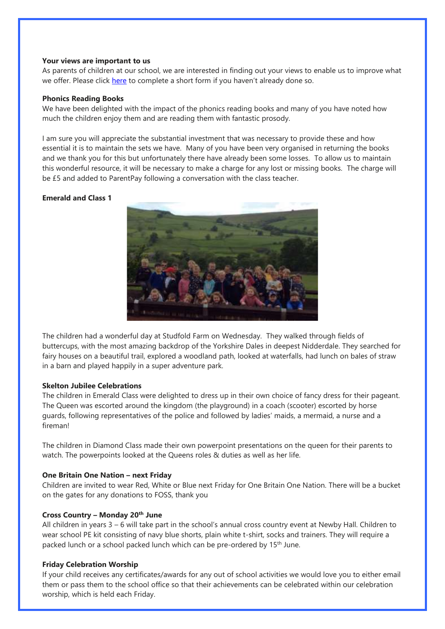#### **Your views are important to us**

As parents of children at our school, we are interested in finding out your views to enable us to improve what we offer. Please click [here](https://forms.office.com/pages/responsepage.aspx?id=f968TIx_50yUKkT0FSBpX-w-mMaue4VMkpHylousLiZUMjVMVFFJWTE4Vk9VSTNCRUI1VURVVzdLWC4u) to complete a short form if you haven't already done so.

#### **Phonics Reading Books**

We have been delighted with the impact of the phonics reading books and many of you have noted how much the children enjoy them and are reading them with fantastic prosody.

I am sure you will appreciate the substantial investment that was necessary to provide these and how essential it is to maintain the sets we have. Many of you have been very organised in returning the books and we thank you for this but unfortunately there have already been some losses. To allow us to maintain this wonderful resource, it will be necessary to make a charge for any lost or missing books. The charge will be £5 and added to ParentPay following a conversation with the class teacher.

# **Emerald and Class 1**



The children had a wonderful day at Studfold Farm on Wednesday. They walked through fields of buttercups, with the most amazing backdrop of the Yorkshire Dales in deepest Nidderdale. They searched for fairy houses on a beautiful trail, explored a woodland path, looked at waterfalls, had lunch on bales of straw in a barn and played happily in a super adventure park.

# **Skelton Jubilee Celebrations**

The children in Emerald Class were delighted to dress up in their own choice of fancy dress for their pageant. The Queen was escorted around the kingdom (the playground) in a coach (scooter) escorted by horse guards, following representatives of the police and followed by ladies' maids, a mermaid, a nurse and a fireman!

The children in Diamond Class made their own powerpoint presentations on the queen for their parents to watch. The powerpoints looked at the Queens roles & duties as well as her life.

# **One Britain One Nation – next Friday**

Children are invited to wear Red, White or Blue next Friday for One Britain One Nation. There will be a bucket on the gates for any donations to FOSS, thank you

# **Cross Country – Monday 20th June**

All children in years 3 – 6 will take part in the school's annual cross country event at Newby Hall. Children to wear school PE kit consisting of navy blue shorts, plain white t-shirt, socks and trainers. They will require a packed lunch or a school packed lunch which can be pre-ordered by 15th June.

# **Friday Celebration Worship**

If your child receives any certificates/awards for any out of school activities we would love you to either email them or pass them to the school office so that their achievements can be celebrated within our celebration worship, which is held each Friday.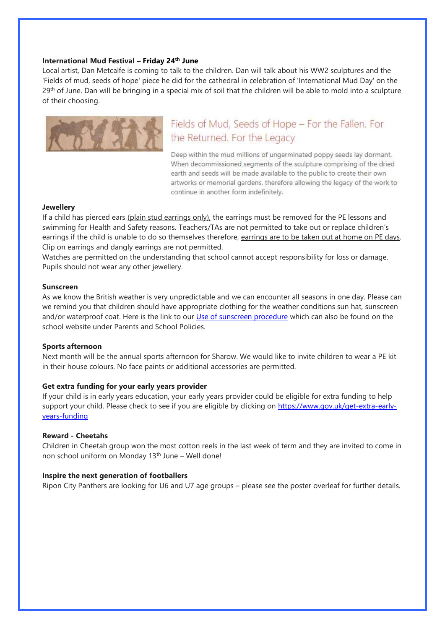#### **International Mud Festival – Friday 24th June**

Local artist, Dan Metcalfe is coming to talk to the children. Dan will talk about his WW2 sculptures and the 'Fields of mud, seeds of hope' piece he did for the cathedral in celebration of 'International Mud Day' on the 29<sup>th</sup> of June. Dan will be bringing in a special mix of soil that the children will be able to mold into a sculpture of their choosing.



# Fields of Mud, Seeds of Hope - For the Fallen. For the Returned. For the Legacy

Deep within the mud millions of ungerminated poppy seeds lay dormant. When decommissioned segments of the sculpture comprising of the dried earth and seeds will be made available to the public to create their own artworks or memorial gardens, therefore allowing the legacy of the work to continue in another form indefinitely.

#### **Jewellery**

If a child has pierced ears (plain stud earrings only), the earrings must be removed for the PE lessons and swimming for Health and Safety reasons. Teachers/TAs are not permitted to take out or replace children's earrings if the child is unable to do so themselves therefore, earrings are to be taken out at home on PE days. Clip on earrings and dangly earrings are not permitted.

Watches are permitted on the understanding that school cannot accept responsibility for loss or damage. Pupils should not wear any other jewellery.

#### **Sunscreen**

As we know the British weather is very unpredictable and we can encounter all seasons in one day. Please can we remind you that children should have appropriate clothing for the weather conditions sun hat, sunscreen and/or waterproof coat. Here is the link to our [Use of sunscreen procedure](https://www.sharow.n-yorks.sch.uk/sites/default/files/attachments/use_of_sunscreens_procedure.pdf) which can also be found on the school website under Parents and School Policies.

#### **Sports afternoon**

Next month will be the annual sports afternoon for Sharow. We would like to invite children to wear a PE kit in their house colours. No face paints or additional accessories are permitted.

#### **Get extra funding for your early years provider**

If your child is in early years education, your early years provider could be eligible for extra funding to help support your child. Please check to see if you are eligible by clicking on [https://www.gov.uk/get-extra-early](https://www.gov.uk/get-extra-early-years-funding)[years-funding](https://www.gov.uk/get-extra-early-years-funding)

#### **Reward - Cheetahs**

Children in Cheetah group won the most cotton reels in the last week of term and they are invited to come in non school uniform on Monday 13<sup>th</sup> June – Well done!

#### **Inspire the next generation of footballers**

Ripon City Panthers are looking for U6 and U7 age groups – please see the poster overleaf for further details.